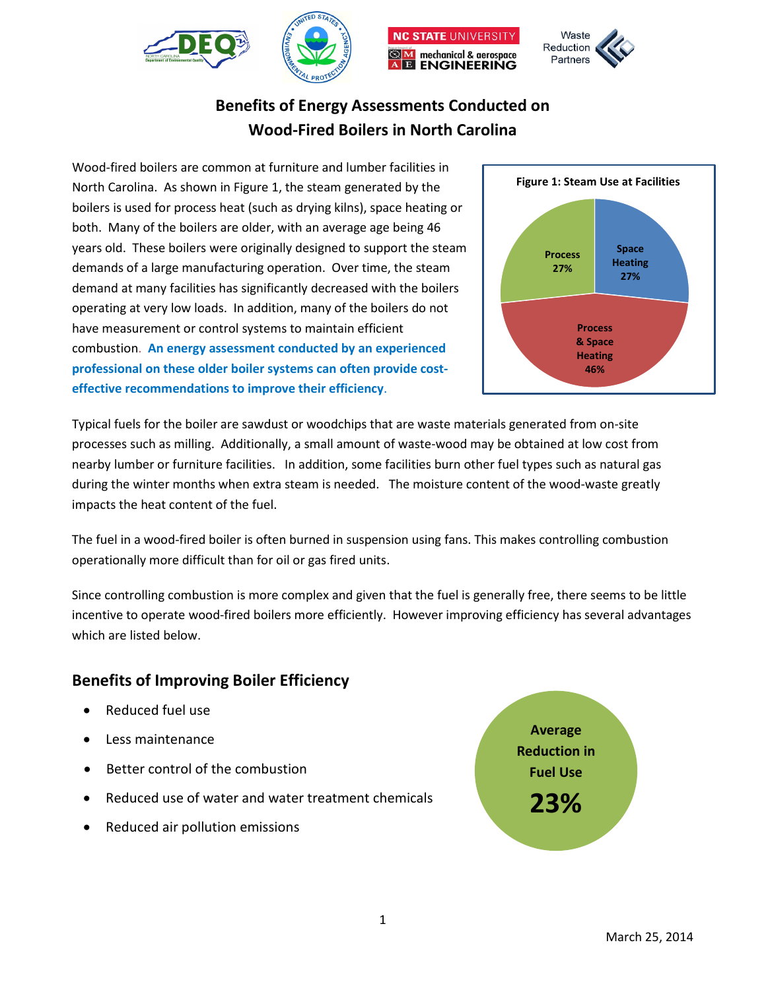





# **Benefits of Energy Assessments Conducted on Wood-Fired Boilers in North Carolina**

Wood-fired boilers are common at furniture and lumber facilities in North Carolina. As shown in Figure 1, the steam generated by the boilers is used for process heat (such as drying kilns), space heating or both. Many of the boilers are older, with an average age being 46 years old. These boilers were originally designed to support the steam demands of a large manufacturing operation. Over time, the steam demand at many facilities has significantly decreased with the boilers operating at very low loads. In addition, many of the boilers do not have measurement or control systems to maintain efficient combustion. **An energy assessment conducted by an experienced professional on these older boiler systems can often provide costeffective recommendations to improve their efficiency**.



Typical fuels for the boiler are sawdust or woodchips that are waste materials generated from on-site processes such as milling. Additionally, a small amount of waste-wood may be obtained at low cost from nearby lumber or furniture facilities. In addition, some facilities burn other fuel types such as natural gas during the winter months when extra steam is needed. The moisture content of the wood-waste greatly impacts the heat content of the fuel.

The fuel in a wood-fired boiler is often burned in suspension using fans. This makes controlling combustion operationally more difficult than for oil or gas fired units.

Since controlling combustion is more complex and given that the fuel is generally free, there seems to be little incentive to operate wood-fired boilers more efficiently. However improving efficiency has several advantages which are listed below.

## **Benefits of Improving Boiler Efficiency**

- Reduced fuel use
- Less maintenance
- Better control of the combustion
- Reduced use of water and water treatment chemicals
- Reduced air pollution emissions

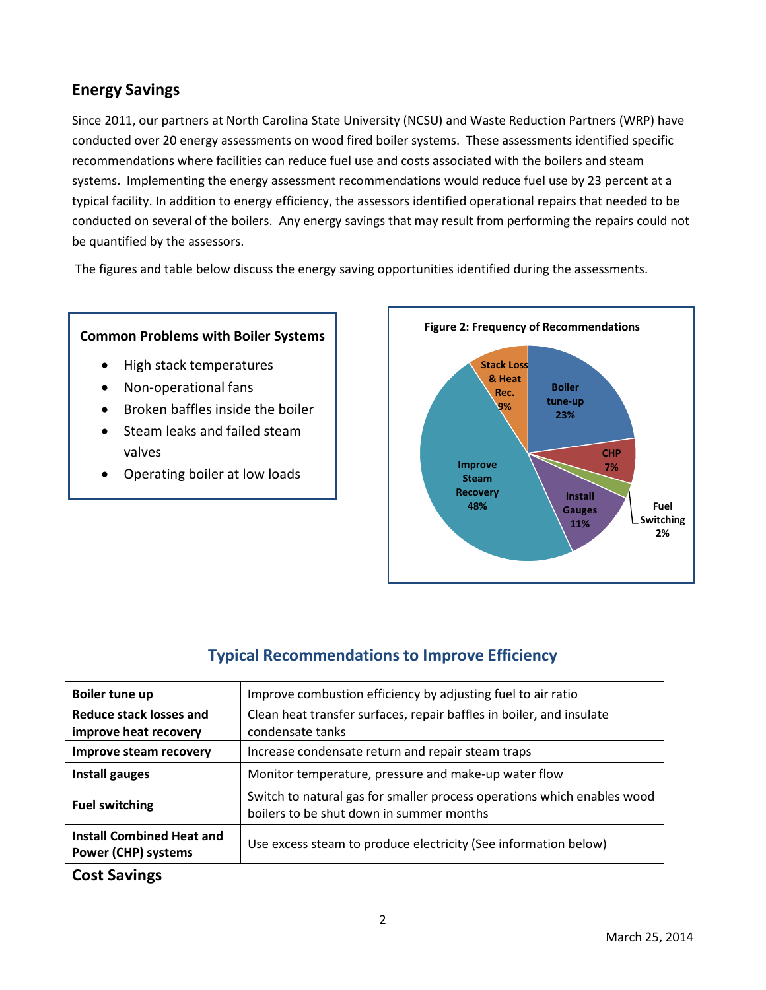## **Energy Savings**

Since 2011, our partners at North Carolina State University (NCSU) and Waste Reduction Partners (WRP) have conducted over 20 energy assessments on wood fired boiler systems. These assessments identified specific recommendations where facilities can reduce fuel use and costs associated with the boilers and steam systems. Implementing the energy assessment recommendations would reduce fuel use by 23 percent at a typical facility. In addition to energy efficiency, the assessors identified operational repairs that needed to be conducted on several of the boilers. Any energy savings that may result from performing the repairs could not be quantified by the assessors.

The figures and table below discuss the energy saving opportunities identified during the assessments.

### **Common Problems with Boiler Systems**

- High stack temperatures
- Non-operational fans
- Broken baffles inside the boiler
- Steam leaks and failed steam valves
- Operating boiler at low loads



# **Typical Recommendations to Improve Efficiency**

| Boiler tune up                                                 | Improve combustion efficiency by adjusting fuel to air ratio                                                        |  |  |  |  |
|----------------------------------------------------------------|---------------------------------------------------------------------------------------------------------------------|--|--|--|--|
| <b>Reduce stack losses and</b><br>improve heat recovery        | Clean heat transfer surfaces, repair baffles in boiler, and insulate<br>condensate tanks                            |  |  |  |  |
| Improve steam recovery                                         | Increase condensate return and repair steam traps                                                                   |  |  |  |  |
| Install gauges                                                 | Monitor temperature, pressure and make-up water flow                                                                |  |  |  |  |
| <b>Fuel switching</b>                                          | Switch to natural gas for smaller process operations which enables wood<br>boilers to be shut down in summer months |  |  |  |  |
| <b>Install Combined Heat and</b><br><b>Power (CHP) systems</b> | Use excess steam to produce electricity (See information below)                                                     |  |  |  |  |

## **Cost Savings**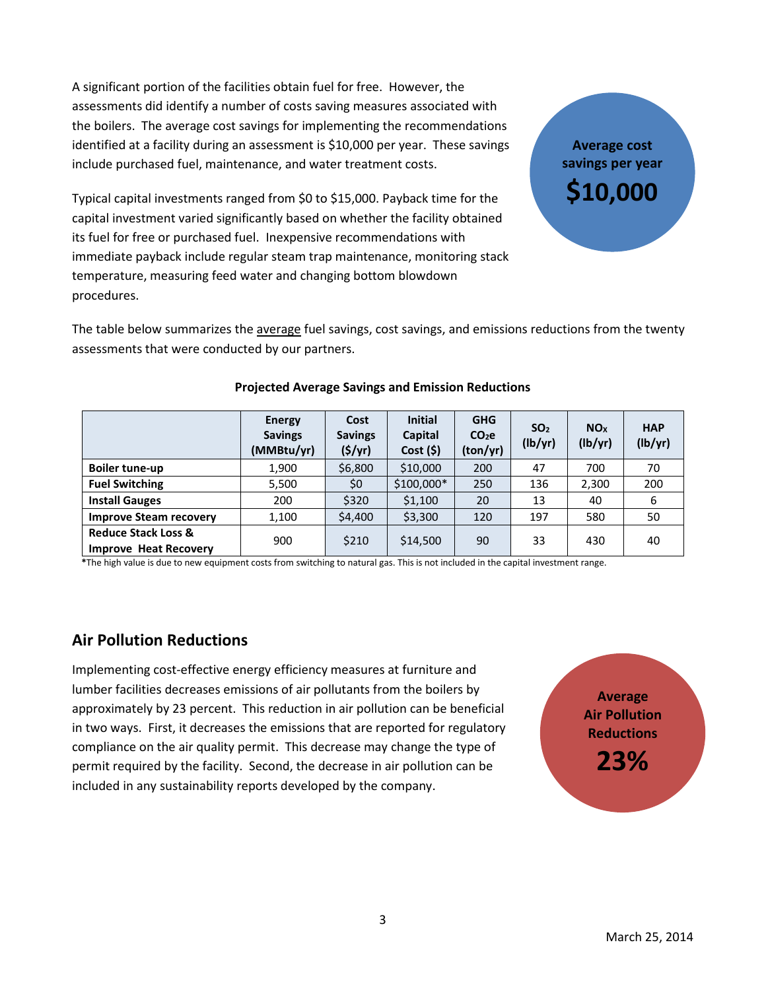A significant portion of the facilities obtain fuel for free. However, the assessments did identify a number of costs saving measures associated with the boilers. The average cost savings for implementing the recommendations identified at a facility during an assessment is \$10,000 per year. These savings include purchased fuel, maintenance, and water treatment costs.

Typical capital investments ranged from \$0 to \$15,000. Payback time for the capital investment varied significantly based on whether the facility obtained its fuel for free or purchased fuel. Inexpensive recommendations with immediate payback include regular steam trap maintenance, monitoring stack temperature, measuring feed water and changing bottom blowdown procedures.

The table below summarizes the average fuel savings, cost savings, and emissions reductions from the twenty assessments that were conducted by our partners.

|                                                                | <b>Energy</b><br><b>Savings</b><br>(MMBtu/yr) | Cost<br><b>Savings</b><br>(\$/yr) | <b>Initial</b><br>Capital<br>Cost(5) | <b>GHG</b><br>CO <sub>2</sub> e<br>(ton/yr) | SO <sub>2</sub><br>(lb/yr) | <b>NO<sub>x</sub></b><br>(lb/yr) | <b>HAP</b><br>(lb/yr) |
|----------------------------------------------------------------|-----------------------------------------------|-----------------------------------|--------------------------------------|---------------------------------------------|----------------------------|----------------------------------|-----------------------|
| <b>Boiler tune-up</b>                                          | 1,900                                         | \$6,800                           | \$10,000                             | 200                                         | 47                         | 700                              | 70                    |
| <b>Fuel Switching</b>                                          | 5,500                                         | \$0                               | $$100,000*$                          | 250                                         | 136                        | 2,300                            | 200                   |
| <b>Install Gauges</b>                                          | 200                                           | \$320                             | \$1,100                              | 20                                          | 13                         | 40                               | 6                     |
| <b>Improve Steam recovery</b>                                  | 1,100                                         | \$4,400                           | \$3,300                              | 120                                         | 197                        | 580                              | 50                    |
| <b>Reduce Stack Loss &amp;</b><br><b>Improve Heat Recovery</b> | 900                                           | \$210                             | \$14,500                             | 90                                          | 33                         | 430                              | 40                    |

#### **Projected Average Savings and Emission Reductions**

 **\***The high value is due to new equipment costs from switching to natural gas. This is not included in the capital investment range.

## **Air Pollution Reductions**

Implementing cost-effective energy efficiency measures at furniture and lumber facilities decreases emissions of air pollutants from the boilers by approximately by 23 percent. This reduction in air pollution can be beneficial in two ways. First, it decreases the emissions that are reported for regulatory compliance on the air quality permit. This decrease may change the type of permit required by the facility. Second, the decrease in air pollution can be included in any sustainability reports developed by the company.

**Average Air Pollution Reductions 23%**

**Average cost savings per year**

**\$10,000**